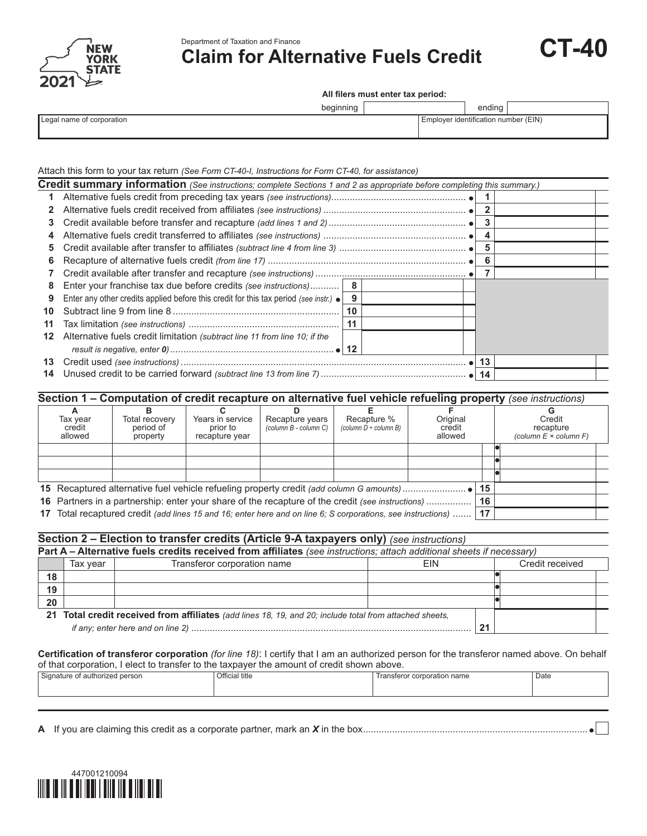



**Claim for Alternative Fuels Credit**



 **All filers must enter tax period:**

| beginning |  |
|-----------|--|
|           |  |

ending

| Legal name of corporation |  |
|---------------------------|--|
|---------------------------|--|

Employer identification number (EIN)

## Attach this form to your tax return *(See Form CT-40-I, Instructions for Form CT-40, for assistance)*

|    | Credit summary information (See instructions; complete Sections 1 and 2 as appropriate before completing this summary.) |    |  |    |  |
|----|-------------------------------------------------------------------------------------------------------------------------|----|--|----|--|
| 1  |                                                                                                                         |    |  |    |  |
|    |                                                                                                                         |    |  |    |  |
| 3  |                                                                                                                         |    |  |    |  |
| 4  |                                                                                                                         |    |  |    |  |
| 5  |                                                                                                                         |    |  | 5  |  |
| 6  |                                                                                                                         |    |  | 6  |  |
|    |                                                                                                                         |    |  |    |  |
| 8  | Enter your franchise tax due before credits (see instructions)  8                                                       |    |  |    |  |
| 9  | Enter any other credits applied before this credit for this tax period (see instr.) $\bullet$                           | 9  |  |    |  |
| 10 |                                                                                                                         | 10 |  |    |  |
| 11 |                                                                                                                         | 11 |  |    |  |
| 12 | Alternative fuels credit limitation (subtract line 11 from line 10; if the                                              |    |  |    |  |
|    |                                                                                                                         |    |  |    |  |
| 13 |                                                                                                                         |    |  | 13 |  |
| 14 |                                                                                                                         |    |  |    |  |
|    |                                                                                                                         |    |  |    |  |

## **Section 1 – Computation of credit recapture on alternative fuel vehicle refueling property** *(see instructions)*

| Tax vear<br>credit<br>allowed | Total recovery<br>period of<br>property                                                                      | Years in service<br>prior to<br>recapture year | Recapture years<br>(column B - column C) | Recapture %<br>(column $D \div$ column B) | Original<br>credit<br>allowed |    | Credit<br>recapture<br>(column $E \times$ column $F$ ) |
|-------------------------------|--------------------------------------------------------------------------------------------------------------|------------------------------------------------|------------------------------------------|-------------------------------------------|-------------------------------|----|--------------------------------------------------------|
|                               |                                                                                                              |                                                |                                          |                                           |                               |    |                                                        |
|                               |                                                                                                              |                                                |                                          |                                           |                               |    |                                                        |
|                               |                                                                                                              |                                                |                                          |                                           |                               | 15 |                                                        |
|                               | 16 Partners in a partnership: enter your share of the recapture of the credit (see instructions)             |                                                |                                          |                                           |                               | 16 |                                                        |
|                               | 17 Total recaptured credit (add lines 15 and 16; enter here and on line 6; S corporations, see instructions) |                                                |                                          |                                           |                               | 17 |                                                        |

## **Section 2 – Election to transfer credits (Article 9-A taxpayers only)** *(see instructions)*

|    | Part A – Alternative fuels credits received from affiliates (see instructions; attach additional sheets if necessary) |                                                                                                         |     |    |                 |  |  |  |
|----|-----------------------------------------------------------------------------------------------------------------------|---------------------------------------------------------------------------------------------------------|-----|----|-----------------|--|--|--|
|    | Tax year                                                                                                              | Transferor corporation name                                                                             | FIN |    | Credit received |  |  |  |
| 18 |                                                                                                                       |                                                                                                         |     |    |                 |  |  |  |
| 19 |                                                                                                                       |                                                                                                         |     |    |                 |  |  |  |
| 20 |                                                                                                                       |                                                                                                         |     |    |                 |  |  |  |
|    |                                                                                                                       | 21 Total credit received from affiliates (add lines 18, 19, and 20; include total from attached sheets, |     |    |                 |  |  |  |
|    |                                                                                                                       |                                                                                                         |     | 24 |                 |  |  |  |

**Certification of transferor corporation** *(for line 18)*: I certify that I am an authorized person for the transferor named above. On behalf of that corporation, I elect to transfer to the taxpayer the amount of credit shown above.

| $\sim$<br>Signo'<br>T112C<br>person<br>authorized | Official title | ration name<br>ro<br>corp | Date |
|---------------------------------------------------|----------------|---------------------------|------|
|                                                   |                |                           |      |
|                                                   |                |                           |      |

**A** If you are claiming this credit as a corporate partner, mark an *X* in the box.....................................................................................